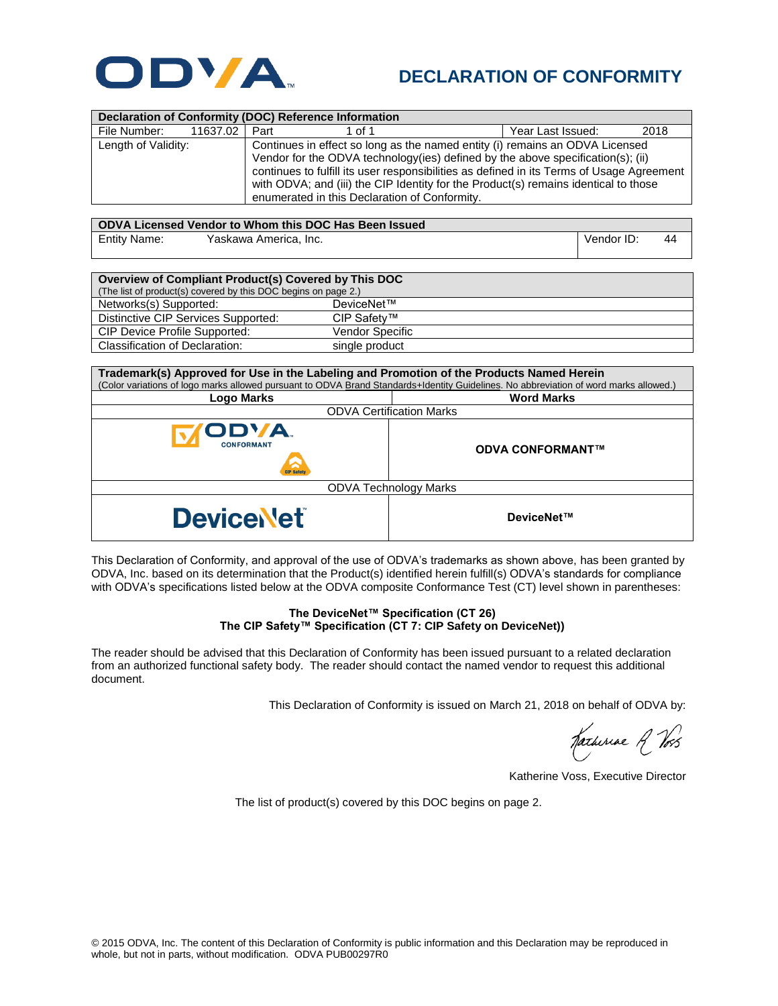

## **DECLARATION OF CONFORMITY**

| <b>Declaration of Conformity (DOC) Reference Information</b>                                                                                                                                                                                                                                                                                                                                                                 |          |      |        |                   |      |  |  |
|------------------------------------------------------------------------------------------------------------------------------------------------------------------------------------------------------------------------------------------------------------------------------------------------------------------------------------------------------------------------------------------------------------------------------|----------|------|--------|-------------------|------|--|--|
| File Number:                                                                                                                                                                                                                                                                                                                                                                                                                 | 11637.02 | Part | 1 of 1 | Year Last Issued: | 2018 |  |  |
| Length of Validity:<br>Continues in effect so long as the named entity (i) remains an ODVA Licensed<br>Vendor for the ODVA technology (ies) defined by the above specification(s); (ii)<br>continues to fulfill its user responsibilities as defined in its Terms of Usage Agreement<br>with ODVA; and (iii) the CIP Identity for the Product(s) remains identical to those<br>enumerated in this Declaration of Conformity. |          |      |        |                   |      |  |  |

| ODVA Licensed Vendor to Whom this DOC Has Been Issued |                       |            |    |  |  |  |
|-------------------------------------------------------|-----------------------|------------|----|--|--|--|
| <b>Entity Name:</b>                                   | Yaskawa America, Inc. | Vendor ID: | 44 |  |  |  |

| Overview of Compliant Product(s) Covered by This DOC<br>(The list of product(s) covered by this DOC begins on page 2.) |                 |  |  |  |
|------------------------------------------------------------------------------------------------------------------------|-----------------|--|--|--|
| Networks(s) Supported:                                                                                                 | DeviceNet™      |  |  |  |
| Distinctive CIP Services Supported:                                                                                    | CIP Safetv™     |  |  |  |
| <b>CIP Device Profile Supported:</b>                                                                                   | Vendor Specific |  |  |  |
| Classification of Declaration:                                                                                         | single product  |  |  |  |

| Trademark(s) Approved for Use in the Labeling and Promotion of the Products Named Herein<br>(Color variations of logo marks allowed pursuant to ODVA Brand Standards+Identity Guidelines. No abbreviation of word marks allowed.) |                         |  |  |  |
|-----------------------------------------------------------------------------------------------------------------------------------------------------------------------------------------------------------------------------------|-------------------------|--|--|--|
| Logo Marks                                                                                                                                                                                                                        | <b>Word Marks</b>       |  |  |  |
| <b>ODVA Certification Marks</b>                                                                                                                                                                                                   |                         |  |  |  |
| ODVA.<br><b>CONFORMANT</b><br><b>Safet</b>                                                                                                                                                                                        | <b>ODVA CONFORMANT™</b> |  |  |  |
| <b>ODVA Technology Marks</b>                                                                                                                                                                                                      |                         |  |  |  |
| <b>Device let</b>                                                                                                                                                                                                                 | DeviceNet™              |  |  |  |

This Declaration of Conformity, and approval of the use of ODVA's trademarks as shown above, has been granted by ODVA, Inc. based on its determination that the Product(s) identified herein fulfill(s) ODVA's standards for compliance with ODVA's specifications listed below at the ODVA composite Conformance Test (CT) level shown in parentheses:

## **The DeviceNet™ Specification (CT 26) The CIP Safety™ Specification (CT 7: CIP Safety on DeviceNet))**

The reader should be advised that this Declaration of Conformity has been issued pursuant to a related declaration from an authorized functional safety body. The reader should contact the named vendor to request this additional document.

This Declaration of Conformity is issued on March 21, 2018 on behalf of ODVA by:

Jachiriae A Voss

Katherine Voss, Executive Director

The list of product(s) covered by this DOC begins on page 2.